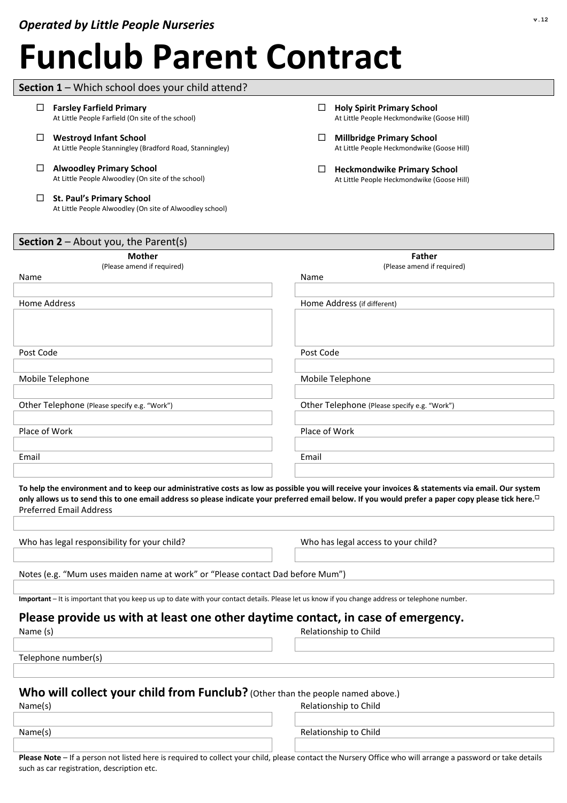**Farsley Farfield Primary** 

**Section 1** – Which school does your child attend?

At Little People Farfield (On site of the school)

# **Funclub Parent Contract**

| <b>Westroyd Infant School</b><br>⊔<br>At Little People Stanningley (Bradford Road, Stanningley)                                                  | <b>Millbridge Primary School</b><br>⊔<br>At Little People Heckmondwike (Goose Hill)                                                                                                                                                                                                                                  |
|--------------------------------------------------------------------------------------------------------------------------------------------------|----------------------------------------------------------------------------------------------------------------------------------------------------------------------------------------------------------------------------------------------------------------------------------------------------------------------|
| <b>Alwoodley Primary School</b><br>□<br>At Little People Alwoodley (On site of the school)                                                       | <b>Heckmondwike Primary School</b><br>⊔<br>At Little People Heckmondwike (Goose Hill)                                                                                                                                                                                                                                |
| <b>St. Paul's Primary School</b><br>□<br>At Little People Alwoodley (On site of Alwoodley school)                                                |                                                                                                                                                                                                                                                                                                                      |
| <b>Section 2</b> – About you, the Parent(s)                                                                                                      |                                                                                                                                                                                                                                                                                                                      |
| <b>Mother</b>                                                                                                                                    | <b>Father</b>                                                                                                                                                                                                                                                                                                        |
| (Please amend if required)<br>Name                                                                                                               | (Please amend if required)<br>Name                                                                                                                                                                                                                                                                                   |
|                                                                                                                                                  |                                                                                                                                                                                                                                                                                                                      |
| <b>Home Address</b>                                                                                                                              | Home Address (if different)                                                                                                                                                                                                                                                                                          |
|                                                                                                                                                  |                                                                                                                                                                                                                                                                                                                      |
| Post Code                                                                                                                                        | Post Code                                                                                                                                                                                                                                                                                                            |
|                                                                                                                                                  |                                                                                                                                                                                                                                                                                                                      |
| Mobile Telephone                                                                                                                                 | Mobile Telephone                                                                                                                                                                                                                                                                                                     |
|                                                                                                                                                  |                                                                                                                                                                                                                                                                                                                      |
| Other Telephone (Please specify e.g. "Work")                                                                                                     | Other Telephone (Please specify e.g. "Work")                                                                                                                                                                                                                                                                         |
| Place of Work                                                                                                                                    | Place of Work                                                                                                                                                                                                                                                                                                        |
|                                                                                                                                                  |                                                                                                                                                                                                                                                                                                                      |
| Email                                                                                                                                            | Email                                                                                                                                                                                                                                                                                                                |
|                                                                                                                                                  |                                                                                                                                                                                                                                                                                                                      |
| <b>Preferred Email Address</b>                                                                                                                   | To help the environment and to keep our administrative costs as low as possible you will receive your invoices & statements via email. Our system<br>only allows us to send this to one email address so please indicate your preferred email below. If you would prefer a paper copy please tick here. <sup>D</sup> |
|                                                                                                                                                  |                                                                                                                                                                                                                                                                                                                      |
| Who has legal responsibility for your child?                                                                                                     | Who has legal access to your child?                                                                                                                                                                                                                                                                                  |
| Notes (e.g. "Mum uses maiden name at work" or "Please contact Dad before Mum")                                                                   |                                                                                                                                                                                                                                                                                                                      |
| Important - It is important that you keep us up to date with your contact details. Please let us know if you change address or telephone number. |                                                                                                                                                                                                                                                                                                                      |
|                                                                                                                                                  |                                                                                                                                                                                                                                                                                                                      |
| Please provide us with at least one other daytime contact, in case of emergency.                                                                 | Relationship to Child                                                                                                                                                                                                                                                                                                |
| Name (s)                                                                                                                                         |                                                                                                                                                                                                                                                                                                                      |
| Telephone number(s)                                                                                                                              |                                                                                                                                                                                                                                                                                                                      |
|                                                                                                                                                  |                                                                                                                                                                                                                                                                                                                      |
| Who will collect your child from Funclub? (Other than the people named above.)                                                                   |                                                                                                                                                                                                                                                                                                                      |
| Name(s)                                                                                                                                          | Relationship to Child                                                                                                                                                                                                                                                                                                |
| Name(s)                                                                                                                                          | Relationship to Child                                                                                                                                                                                                                                                                                                |
|                                                                                                                                                  |                                                                                                                                                                                                                                                                                                                      |
|                                                                                                                                                  |                                                                                                                                                                                                                                                                                                                      |

**Holy Spirit Primary School** 

At Little People Heckmondwike (Goose Hill)

**Please Note** – If a person not listed here is required to collect your child, please contact the Nursery Office who will arrange a password or take details such as car registration, description etc.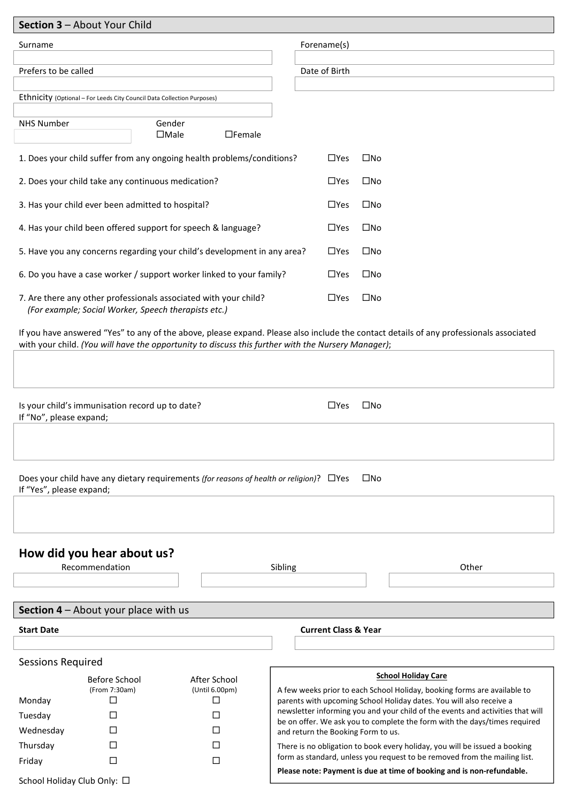| Section 3 - About Your Child                                                                                                                                                                                                                 |               |                                    |                                                                                                                                                             |  |
|----------------------------------------------------------------------------------------------------------------------------------------------------------------------------------------------------------------------------------------------|---------------|------------------------------------|-------------------------------------------------------------------------------------------------------------------------------------------------------------|--|
| Surname                                                                                                                                                                                                                                      |               | Forename(s)                        |                                                                                                                                                             |  |
|                                                                                                                                                                                                                                              |               |                                    |                                                                                                                                                             |  |
| Prefers to be called                                                                                                                                                                                                                         |               | Date of Birth                      |                                                                                                                                                             |  |
| Ethnicity (Optional - For Leeds City Council Data Collection Purposes)                                                                                                                                                                       |               |                                    |                                                                                                                                                             |  |
|                                                                                                                                                                                                                                              |               |                                    |                                                                                                                                                             |  |
| <b>NHS Number</b><br>Gender<br>$\Box$ Male                                                                                                                                                                                                   | $\Box$ Female |                                    |                                                                                                                                                             |  |
| 1. Does your child suffer from any ongoing health problems/conditions?                                                                                                                                                                       |               | $\square$ Yes                      | $\square$ No                                                                                                                                                |  |
| 2. Does your child take any continuous medication?                                                                                                                                                                                           |               | $\Box$ Yes                         | $\square$ No                                                                                                                                                |  |
| 3. Has your child ever been admitted to hospital?                                                                                                                                                                                            |               | $\Box$ Yes                         | $\square$ No                                                                                                                                                |  |
| 4. Has your child been offered support for speech & language?                                                                                                                                                                                |               | $\Box$ Yes                         | $\square$ No                                                                                                                                                |  |
| 5. Have you any concerns regarding your child's development in any area?                                                                                                                                                                     |               | $\Box$ Yes                         | $\square$ No                                                                                                                                                |  |
| 6. Do you have a case worker / support worker linked to your family?                                                                                                                                                                         |               | $\Box$ Yes                         | $\square$ No                                                                                                                                                |  |
| 7. Are there any other professionals associated with your child?<br>(For example; Social Worker, Speech therapists etc.)                                                                                                                     | $\Box$ Yes    | $\square$ No                       |                                                                                                                                                             |  |
| If you have answered "Yes" to any of the above, please expand. Please also include the contact details of any professionals associated<br>with your child. (You will have the opportunity to discuss this further with the Nursery Manager); |               |                                    |                                                                                                                                                             |  |
|                                                                                                                                                                                                                                              |               |                                    |                                                                                                                                                             |  |
|                                                                                                                                                                                                                                              |               |                                    |                                                                                                                                                             |  |
| Is your child's immunisation record up to date?<br>If "No", please expand;                                                                                                                                                                   |               | $\Box$ Yes                         | $\square$ No                                                                                                                                                |  |
|                                                                                                                                                                                                                                              |               |                                    |                                                                                                                                                             |  |
|                                                                                                                                                                                                                                              |               |                                    |                                                                                                                                                             |  |
| $\square$ No<br>Does your child have any dietary requirements (for reasons of health or religion)? □Yes<br>If "Yes", please expand;                                                                                                          |               |                                    |                                                                                                                                                             |  |
|                                                                                                                                                                                                                                              |               |                                    |                                                                                                                                                             |  |
|                                                                                                                                                                                                                                              |               |                                    |                                                                                                                                                             |  |
| How did you hear about us?                                                                                                                                                                                                                   |               |                                    |                                                                                                                                                             |  |
| Recommendation                                                                                                                                                                                                                               | Sibling       |                                    | Other                                                                                                                                                       |  |
|                                                                                                                                                                                                                                              |               |                                    |                                                                                                                                                             |  |
|                                                                                                                                                                                                                                              |               |                                    |                                                                                                                                                             |  |
| <b>Section 4</b> $-$ About your place with us                                                                                                                                                                                                |               |                                    |                                                                                                                                                             |  |
| <b>Start Date</b>                                                                                                                                                                                                                            |               | <b>Current Class &amp; Year</b>    |                                                                                                                                                             |  |
|                                                                                                                                                                                                                                              |               |                                    |                                                                                                                                                             |  |
| <b>Sessions Required</b>                                                                                                                                                                                                                     |               |                                    | <b>School Holiday Care</b>                                                                                                                                  |  |
| Before School<br>After School<br>(From 7:30am)<br>(Until 6.00pm)                                                                                                                                                                             |               |                                    | A few weeks prior to each School Holiday, booking forms are available to                                                                                    |  |
| Monday<br>□<br>□                                                                                                                                                                                                                             |               |                                    | parents with upcoming School Holiday dates. You will also receive a                                                                                         |  |
| Tuesday<br>⊔<br>U                                                                                                                                                                                                                            |               |                                    | newsletter informing you and your child of the events and activities that will<br>be on offer. We ask you to complete the form with the days/times required |  |
| Wednesday<br>П<br>П                                                                                                                                                                                                                          |               | and return the Booking Form to us. |                                                                                                                                                             |  |
| Thursday<br>$\Box$<br>ΙI                                                                                                                                                                                                                     |               |                                    | There is no obligation to book every holiday, you will be issued a booking                                                                                  |  |
| Friday<br>□<br>П                                                                                                                                                                                                                             |               |                                    | form as standard, unless you request to be removed from the mailing list.<br>Please note: Payment is due at time of booking and is non-refundable.          |  |
| School Holiday Club Only: □                                                                                                                                                                                                                  |               |                                    |                                                                                                                                                             |  |